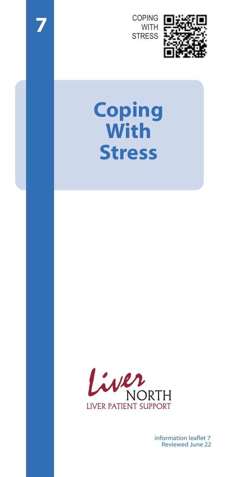COPING **WITH STRESS** 

**7**



# **Coping With Stress**



information leaflet 7 Reviewed June 22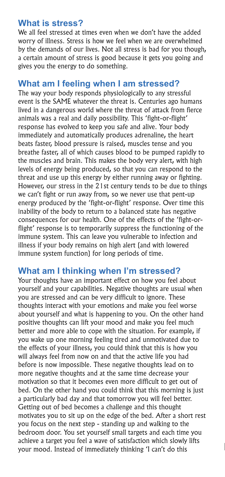#### **What is stress?**

We all feel stressed at times even when we don't have the added worry of illness. Stress is how we feel when we are overwhelmed by the demands of our lives. Not all stress is bad for you though, a certain amount of stress is good because it gets you going and gives you the energy to do something.

## **What am I feeling when I am stressed?**

The way your body responds physiologically to any stressful event is the SAME whatever the threat is. Centuries ago humans lived in a dangerous world where the threat of attack from fierce animals was a real and daily possibility. This 'fight-or-flight' response has evolved to keep you safe and alive. Your body immediately and automatically produces adrenaline, the heart beats faster, blood pressure is raised, muscles tense and you breathe faster, all of which causes blood to be pumped rapidly to the muscles and brain. This makes the body very alert, with high levels of energy being produced, so that you can respond to the threat and use up this energy by either running away or fighting. However, our stress in the 21st century tends to be due to things we can't fight or run away from, so we never use that pent-up energy produced by the 'fight-or-flight' response. Over time this inability of the body to return to a balanced state has negative consequences for our health. One of the effects of the 'fight-orflight' response is to temporarily suppress the functioning of the immune system. This can leave you vulnerable to infection and illness if your body remains on high alert (and with lowered immune system function) for long periods of time.

## **What am I thinking when I'm stressed?**

Your thoughts have an important effect on how you feel about yourself and your capabilities. Negative thoughts are usual when you are stressed and can be very difficult to ignore. These thoughts interact with your emotions and make you feel worse about yourself and what is happening to you. On the other hand positive thoughts can lift your mood and make you feel much better and more able to cope with the situation. For example, if you wake up one morning feeling tired and unmotivated due to the effects of your illness, you could think that this is how you will always feel from now on and that the active life you had before is now impossible. These negative thoughts lead on to more negative thoughts and at the same time decrease your motivation so that it becomes even more difficult to get out of bed. On the other hand you could think that this morning is just a particularly bad day and that tomorrow you will feel better. Getting out of bed becomes a challenge and this thought motivates you to sit up on the edge of the bed. After a short rest you focus on the next step - standing up and walking to the bedroom door. You set yourself small targets and each time you achieve a target you feel a wave of satisfaction which slowly lifts your mood. Instead of immediately thinking 'I can't do this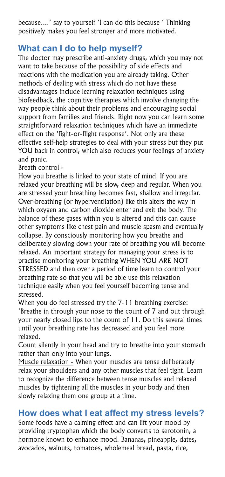because....' say to yourself 'I can do this because ' Thinking positively makes you feel stronger and more motivated.

## **What can I do to help myself?**

The doctor may prescribe anti-anxiety drugs, which you may not want to take because of the possibility of side effects and reactions with the medication you are already taking. Other methods of dealing with stress which do not have these disadvantages include learning relaxation techniques using biofeedback, the cognitive therapies which involve changing the way people think about their problems and encouraging social support from families and friends. Right now you can learn some straightforward relaxation techniques which have an immediate effect on the 'fight-or-flight response'. Not only are these effective self-help strategies to deal with your stress but they put YOU back in control, which also reduces your feelings of anxiety and panic.

#### Breath control -

How you breathe is linked to your state of mind. If you are relaxed your breathing will be slow, deep and regular. When you are stressed your breathing becomes fast, shallow and irregular. Over-breathing (or hyperventilation) like this alters the way in which oxygen and carbon dioxide enter and exit the body. The balance of these gases within you is altered and this can cause other symptoms like chest pain and muscle spasm and eventually collapse. By consciously monitoring how you breathe and deliberately slowing down your rate of breathing you will become relaxed. An important strategy for managing your stress is to practise monitoring your breathing WHEN YOU ARE NOT STRESSED and then over a period of time learn to control your breathing rate so that you will be able use this relaxation technique easily when you feel yourself becoming tense and stressed.

When you do feel stressed try the 7-11 breathing exercise: 'Breathe in through your nose to the count of 7 and out through your nearly closed lips to the count of 11. Do this several times until your breathing rate has decreased and you feel more relaxed.

Count silently in your head and try to breathe into your stomach rather than only into your lungs.

Muscle relaxation - When your muscles are tense deliberately relax your shoulders and any other muscles that feel tight. Learn to recognize the difference between tense muscles and relaxed muscles by tightening all the muscles in your body and then slowly relaxing them one group at a time.

## **How does what I eat affect my stress levels?**

Some foods have a calming effect and can lift your mood by providing tryptophan which the body converts to serotonin, a hormone known to enhance mood. Bananas, pineapple, dates, avocados, walnuts, tomatoes, wholemeal bread, pasta, rice,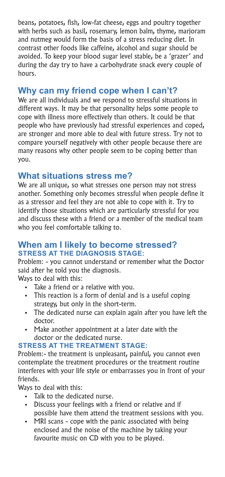beans, potatoes, fish, low-fat cheese, eggs and poultry together with herbs such as basil, rosemary, lemon balm, thyme, marjoram and nutmeg would form the basis of a stress reducing diet. In contrast other foods like caffeine, alcohol and sugar should be avoided. To keep your blood sugar level stable, be a 'grazer' and during the day try to have a carbohydrate snack every couple of hours.

## **Why can my friend cope when I can't?**

We are all individuals and we respond to stressful situations in different ways. It may be that personality helps some people to cope with illness more effectively than others. It could be that people who have previously had stressful experiences and coped, are stronger and more able to deal with future stress. Try not to compare yourself negatively with other people because there are many reasons why other people seem to be coping better than you.

## **What situations stress me?**

We are all unique, so what stresses one person may not stress another. Something only becomes stressful when people define it as a stressor and feel they are not able to cope with it. Try to identify those situations which are particularly stressful for you and discuss these with a friend or a member of the medical team who you feel comfortable talking to.

#### **When am I likely to become stressed? STRESS AT THE DIAGNOSIS STAGE:**

Problem: - you cannot understand or remember what the Doctor said after he told you the diagnosis.

Ways to deal with this:

- Take a friend or a relative with you.
- This reaction is a form of denial and is a useful coping strategy, but only in the short-term.
- . The dedicated nurse can explain again after you have left the doctor.
- Make another appointment at a later date with the doctor or the dedicated nurse.

#### **STRESS AT THE TREATMENT STAGE:**

Problem:- the treatment is unpleasant, painful, you cannot even contemplate the treatment procedures or the treatment routine interferes with your life style or embarrasses you in front of your friends.

Ways to deal with this:

- . Talk to the dedicated nurse.
- . Discuss your feelings with a friend or relative and if possible have them attend the treatment sessions with you.
- MRI scans cope with the panic associated with being enclosed and the noise of the machine by taking your favourite music on CD with you to be played.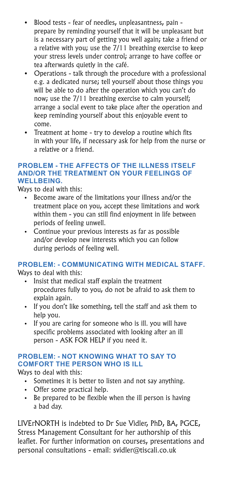- ! Blood tests fear of needles, unpleasantness, pain prepare by reminding yourself that it will be unpleasant but is a necessary part of getting you well again; take a friend or a relative with you; use the 7/11 breathing exercise to keep your stress levels under control; arrange to have coffee or tea afterwards quietly in the café.
- Operations talk through the procedure with a professional e.g. a dedicated nurse; tell yourself about those things you will be able to do after the operation which you can't do now; use the 7/11 breathing exercise to calm yourself; arrange a social event to take place after the operation and keep reminding yourself about this enjoyable event to come.
- Treatment at home try to develop a routine which fits in with your life, if necessary ask for help from the nurse or a relative or a friend.

#### **PROBLEM - THE AFFECTS OF THE ILLNESS ITSELF AND/OR THE TREATMENT ON YOUR FEELINGS OF WELLBEING.**

Ways to deal with this:

- Become aware of the limitations your illness and/or the treatment place on you, accept these limitations and work within them - you can still find enjoyment in life between periods of feeling unwell.
- Continue your previous interests as far as possible and/or develop new interests which you can follow during periods of feeling well.

#### **PROBLEM: - COMMUNICATING WITH MEDICAL STAFF.**

Ways to deal with this:

- . Insist that medical staff explain the treatment procedures fully to you, do not be afraid to ask them to explain again.
- . If you don't like something, tell the staff and ask them to help you.
- If you are caring for someone who is ill. you will have specific problems associated with looking after an ill person - ASK FOR HELP if you need it.

#### **PROBLEM: - NOT KNOWING WHAT TO SAY TO COMFORT THE PERSON WHO IS ILL**

Ways to deal with this:

- Sometimes it is better to listen and not say anything.
- Offer some practical help.
- . Be prepared to be flexible when the ill person is having a bad day.

LIVErNORTH is indebted to Dr Sue Vidler, PhD, BA, PGCE, Stress Management Consultant for her authorship of this leaflet. For further information on courses, presentations and personal consultations - email: svidler@tiscali.co.uk